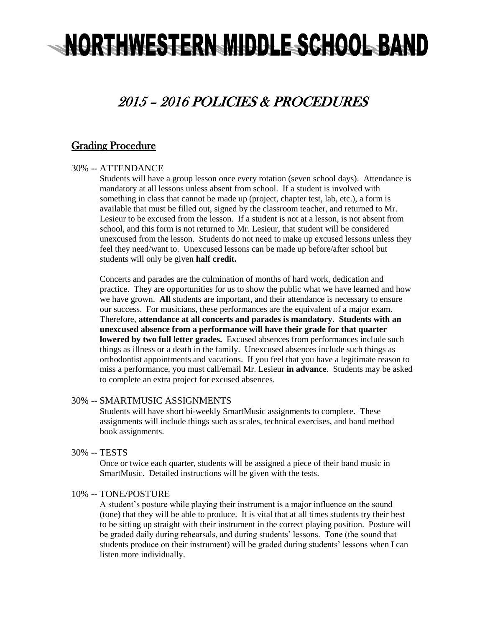# NORTHWESTERN MIDDLE SCHOOL BAND

# 2015 – 2016 POLICIES & PROCEDURES

# Grading Procedure

#### 30% -- ATTENDANCE

Students will have a group lesson once every rotation (seven school days). Attendance is mandatory at all lessons unless absent from school. If a student is involved with something in class that cannot be made up (project, chapter test, lab, etc.), a form is available that must be filled out, signed by the classroom teacher, and returned to Mr. Lesieur to be excused from the lesson. If a student is not at a lesson, is not absent from school, and this form is not returned to Mr. Lesieur, that student will be considered unexcused from the lesson. Students do not need to make up excused lessons unless they feel they need/want to. Unexcused lessons can be made up before/after school but students will only be given **half credit.**

Concerts and parades are the culmination of months of hard work, dedication and practice. They are opportunities for us to show the public what we have learned and how we have grown. **All** students are important, and their attendance is necessary to ensure our success. For musicians, these performances are the equivalent of a major exam. Therefore, **attendance at all concerts and parades is mandatory**. **Students with an unexcused absence from a performance will have their grade for that quarter lowered by two full letter grades.** Excused absences from performances include such things as illness or a death in the family. Unexcused absences include such things as orthodontist appointments and vacations. If you feel that you have a legitimate reason to miss a performance, you must call/email Mr. Lesieur **in advance**. Students may be asked to complete an extra project for excused absences.

#### 30% -- SMARTMUSIC ASSIGNMENTS

Students will have short bi-weekly SmartMusic assignments to complete. These assignments will include things such as scales, technical exercises, and band method book assignments.

30% -- TESTS

Once or twice each quarter, students will be assigned a piece of their band music in SmartMusic. Detailed instructions will be given with the tests.

#### 10% -- TONE/POSTURE

A student's posture while playing their instrument is a major influence on the sound (tone) that they will be able to produce. It is vital that at all times students try their best to be sitting up straight with their instrument in the correct playing position. Posture will be graded daily during rehearsals, and during students' lessons. Tone (the sound that students produce on their instrument) will be graded during students' lessons when I can listen more individually.